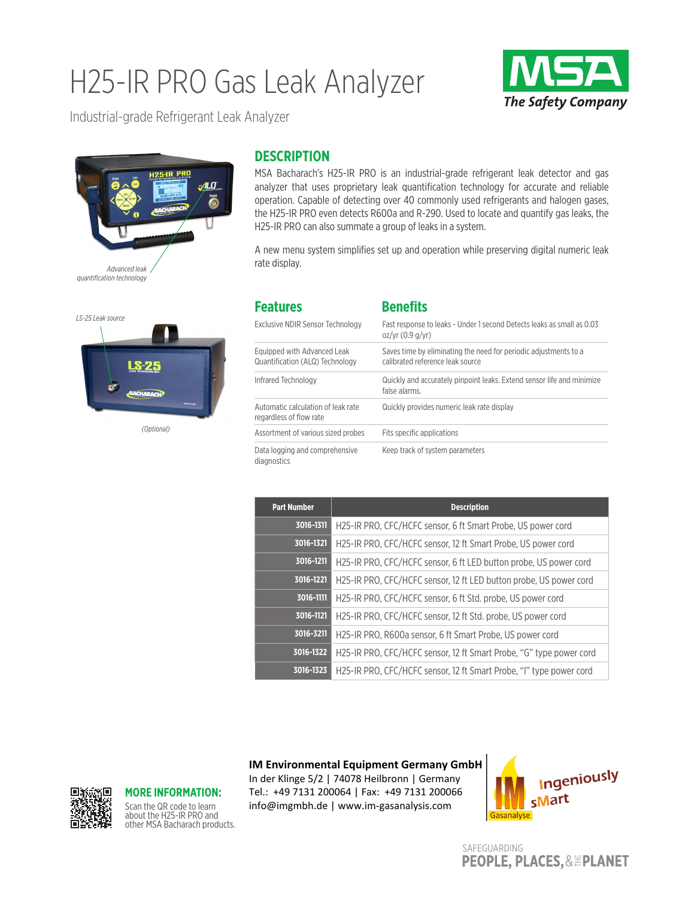# H25-IR PRO Gas Leak Analyzer



Industrial-grade Refrigerant Leak Analyzer





*(Optional)*

### **DESCRIPTION**

MSA Bacharach's H25-IR PRO is an industrial-grade refrigerant leak detector and gas analyzer that uses proprietary leak quantification technology for accurate and reliable operation. Capable of detecting over 40 commonly used refrigerants and halogen gases, the H25-IR PRO even detects R600a and R-290. Used to locate and quantify gas leaks, the H25-IR PRO can also summate a group of leaks in a system.

A new menu system simplifies set up and operation while preserving digital numeric leak rate display.

| <b>Features</b>                                                | <b>Benefits</b>                                                                                      |
|----------------------------------------------------------------|------------------------------------------------------------------------------------------------------|
| Exclusive NDIR Sensor Technology                               | Fast response to leaks - Under 1 second Detects leaks as small as 0.03<br>oz/yr (0.9 q/yr)           |
| Equipped with Advanced Leak<br>Quantification (ALQ) Technology | Saves time by eliminating the need for periodic adjustments to a<br>calibrated reference leak source |
| Infrared Technology                                            | Quickly and accurately pinpoint leaks. Extend sensor life and minimize<br>false alarms.              |
| Automatic calculation of leak rate<br>regardless of flow rate  | Quickly provides numeric leak rate display                                                           |
| Assortment of various sized probes                             | Fits specific applications                                                                           |
| Data logging and comprehensive<br>diagnostics                  | Keep track of system parameters                                                                      |

| <b>Part Number</b> | <b>Description</b>                                                  |
|--------------------|---------------------------------------------------------------------|
| 3016-1311          | H25-IR PRO, CFC/HCFC sensor, 6 ft Smart Probe, US power cord        |
| 3016-1321          | H25-IR PRO, CFC/HCFC sensor, 12 ft Smart Probe, US power cord       |
| 3016-1211          | H25-IR PRO, CFC/HCFC sensor, 6 ft LED button probe, US power cord   |
| 3016-1221          | H25-IR PRO, CFC/HCFC sensor, 12 ft LED button probe, US power cord  |
| 3016-1111          | H25-IR PRO, CFC/HCFC sensor, 6 ft Std. probe, US power cord         |
| 3016-1121          | H25-IR PRO, CFC/HCFC sensor, 12 ft Std. probe, US power cord        |
| 3016-3211          | H25-IR PRO, R600a sensor, 6 ft Smart Probe, US power cord           |
| 3016-1322          | H25-IR PRO, CFC/HCFC sensor, 12 ft Smart Probe, "G" type power cord |
| 3016-1323          | H25-IR PRO, CFC/HCFC sensor, 12 ft Smart Probe, "I" type power cord |

**IM Environmental Equipment Germany GmbH**

In der Klinge 5/2 | 74078 Heilbronn | Germany Tel.: +49 7131 200064 | Fax: +49 7131 200066 info@imgmbh.de | www.im-gasanalysis.com



SAFEGUARDING **PEOPLE, PLACES, & EPLANET** 



### **MORE INFORMATION:**

Scan the QR code to learn about the H25-IR PRO and other MSA Bacharach products.